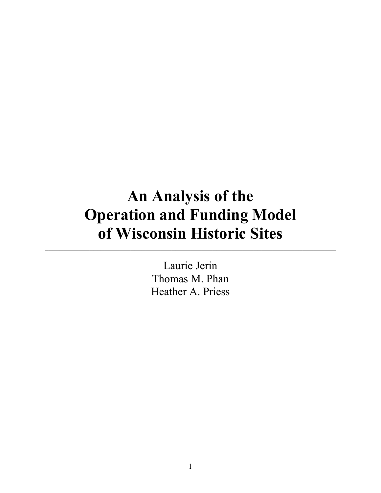# **An Analysis of the Operation and Funding Model of Wisconsin Historic Sites**

 $\mathcal{L}_\mathcal{L} = \{ \mathcal{L}_\mathcal{L} = \{ \mathcal{L}_\mathcal{L} = \{ \mathcal{L}_\mathcal{L} = \{ \mathcal{L}_\mathcal{L} = \{ \mathcal{L}_\mathcal{L} = \{ \mathcal{L}_\mathcal{L} = \{ \mathcal{L}_\mathcal{L} = \{ \mathcal{L}_\mathcal{L} = \{ \mathcal{L}_\mathcal{L} = \{ \mathcal{L}_\mathcal{L} = \{ \mathcal{L}_\mathcal{L} = \{ \mathcal{L}_\mathcal{L} = \{ \mathcal{L}_\mathcal{L} = \{ \mathcal{L}_\mathcal{$ 

Laurie Jerin Thomas M. Phan Heather A. Priess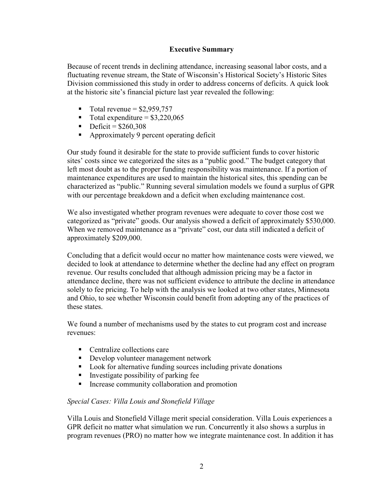## **Executive Summary**

Because of recent trends in declining attendance, increasing seasonal labor costs, and a fluctuating revenue stream, the State of Wisconsin's Historical Society's Historic Sites Division commissioned this study in order to address concerns of deficits. A quick look at the historic site's financial picture last year revealed the following:

- $\blacksquare$  Total revenue = \$2,959,757
- Total expenditure =  $$3,220,065$
- Deficit =  $$260,308$
- **•** Approximately 9 percent operating deficit

Our study found it desirable for the state to provide sufficient funds to cover historic sites' costs since we categorized the sites as a "public good." The budget category that left most doubt as to the proper funding responsibility was maintenance. If a portion of maintenance expenditures are used to maintain the historical sites, this spending can be characterized as "public." Running several simulation models we found a surplus of GPR with our percentage breakdown and a deficit when excluding maintenance cost.

We also investigated whether program revenues were adequate to cover those cost we categorized as "private" goods. Our analysis showed a deficit of approximately \$530,000. When we removed maintenance as a "private" cost, our data still indicated a deficit of approximately \$209,000.

Concluding that a deficit would occur no matter how maintenance costs were viewed, we decided to look at attendance to determine whether the decline had any effect on program revenue. Our results concluded that although admission pricing may be a factor in attendance decline, there was not sufficient evidence to attribute the decline in attendance solely to fee pricing. To help with the analysis we looked at two other states, Minnesota and Ohio, to see whether Wisconsin could benefit from adopting any of the practices of these states.

We found a number of mechanisms used by the states to cut program cost and increase revenues:

- Centralize collections care
- Develop volunteer management network
- **Look** for alternative funding sources including private donations
- Investigate possibility of parking fee
- **Increase community collaboration and promotion**

## *Special Cases: Villa Louis and Stonefield Village*

Villa Louis and Stonefield Village merit special consideration. Villa Louis experiences a GPR deficit no matter what simulation we run. Concurrently it also shows a surplus in program revenues (PRO) no matter how we integrate maintenance cost. In addition it has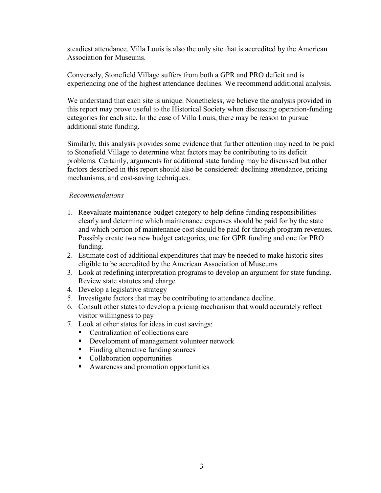steadiest attendance. Villa Louis is also the only site that is accredited by the American Association for Museums.

Conversely, Stonefield Village suffers from both a GPR and PRO deficit and is experiencing one of the highest attendance declines. We recommend additional analysis.

We understand that each site is unique. Nonetheless, we believe the analysis provided in this report may prove useful to the Historical Society when discussing operation-funding categories for each site. In the case of Villa Louis, there may be reason to pursue additional state funding.

Similarly, this analysis provides some evidence that further attention may need to be paid to Stonefield Village to determine what factors may be contributing to its deficit problems. Certainly, arguments for additional state funding may be discussed but other factors described in this report should also be considered: declining attendance, pricing mechanisms, and cost-saving techniques.

#### *Recommendations*

- 1. Reevaluate maintenance budget category to help define funding responsibilities clearly and determine which maintenance expenses should be paid for by the state and which portion of maintenance cost should be paid for through program revenues. Possibly create two new budget categories, one for GPR funding and one for PRO funding.
- 2. Estimate cost of additional expenditures that may be needed to make historic sites eligible to be accredited by the American Association of Museums
- 3. Look at redefining interpretation programs to develop an argument for state funding. Review state statutes and charge
- 4. Develop a legislative strategy
- 5. Investigate factors that may be contributing to attendance decline.
- 6. Consult other states to develop a pricing mechanism that would accurately reflect visitor willingness to pay
- 7. Look at other states for ideas in cost savings:
	- Centralization of collections care
	- Development of management volunteer network
	- Finding alternative funding sources
	- Collaboration opportunities
	- Awareness and promotion opportunities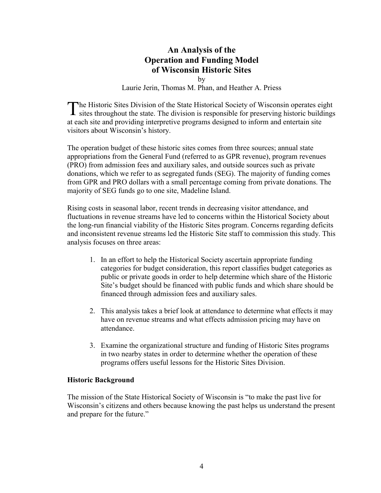## **An Analysis of the Operation and Funding Model of Wisconsin Historic Sites**

by

Laurie Jerin, Thomas M. Phan, and Heather A. Priess

The Historic Sites Division of the State Historical Society of Wisconsin operates eight sites throughout the state. The division is responsible for preserving historic buildings **1** sites throughout the state. The division is responsible for preserving historic buildings at each site and providing interpretive programs designed to inform and entertain site visitors about Wisconsin's history.

The operation budget of these historic sites comes from three sources; annual state appropriations from the General Fund (referred to as GPR revenue), program revenues (PRO) from admission fees and auxiliary sales, and outside sources such as private donations, which we refer to as segregated funds (SEG). The majority of funding comes from GPR and PRO dollars with a small percentage coming from private donations. The majority of SEG funds go to one site, Madeline Island.

Rising costs in seasonal labor, recent trends in decreasing visitor attendance, and fluctuations in revenue streams have led to concerns within the Historical Society about the long-run financial viability of the Historic Sites program. Concerns regarding deficits and inconsistent revenue streams led the Historic Site staff to commission this study. This analysis focuses on three areas:

- 1. In an effort to help the Historical Society ascertain appropriate funding categories for budget consideration, this report classifies budget categories as public or private goods in order to help determine which share of the Historic Site's budget should be financed with public funds and which share should be financed through admission fees and auxiliary sales.
- 2. This analysis takes a brief look at attendance to determine what effects it may have on revenue streams and what effects admission pricing may have on attendance.
- 3. Examine the organizational structure and funding of Historic Sites programs in two nearby states in order to determine whether the operation of these programs offers useful lessons for the Historic Sites Division.

#### **Historic Background**

The mission of the State Historical Society of Wisconsin is "to make the past live for Wisconsin's citizens and others because knowing the past helps us understand the present and prepare for the future."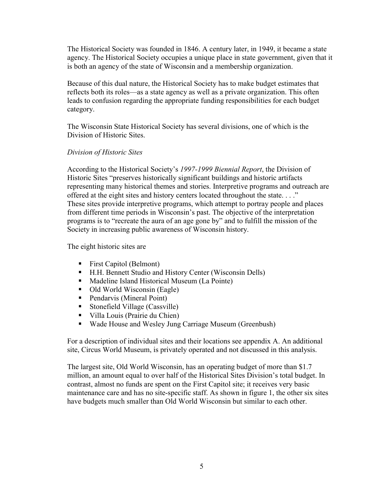The Historical Society was founded in 1846. A century later, in 1949, it became a state agency. The Historical Society occupies a unique place in state government, given that it is both an agency of the state of Wisconsin and a membership organization.

Because of this dual nature, the Historical Society has to make budget estimates that reflects both its roles—as a state agency as well as a private organization. This often leads to confusion regarding the appropriate funding responsibilities for each budget category.

The Wisconsin State Historical Society has several divisions, one of which is the Division of Historic Sites.

## *Division of Historic Sites*

According to the Historical Society's *1997-1999 Biennial Report*, the Division of Historic Sites "preserves historically significant buildings and historic artifacts representing many historical themes and stories. Interpretive programs and outreach are offered at the eight sites and history centers located throughout the state. . . ." These sites provide interpretive programs, which attempt to portray people and places from different time periods in Wisconsin's past. The objective of the interpretation programs is to "recreate the aura of an age gone by" and to fulfill the mission of the Society in increasing public awareness of Wisconsin history.

The eight historic sites are

- First Capitol (Belmont)
- H.H. Bennett Studio and History Center (Wisconsin Dells)
- Madeline Island Historical Museum (La Pointe)
- Old World Wisconsin (Eagle)
- Pendarvis (Mineral Point)
- Stonefield Village (Cassville)
- Villa Louis (Prairie du Chien)
- Wade House and Wesley Jung Carriage Museum (Greenbush)

For a description of individual sites and their locations see appendix A. An additional site, Circus World Museum, is privately operated and not discussed in this analysis.

The largest site, Old World Wisconsin, has an operating budget of more than \$1.7 million, an amount equal to over half of the Historical Sites Division's total budget. In contrast, almost no funds are spent on the First Capitol site; it receives very basic maintenance care and has no site-specific staff. As shown in figure 1, the other six sites have budgets much smaller than Old World Wisconsin but similar to each other.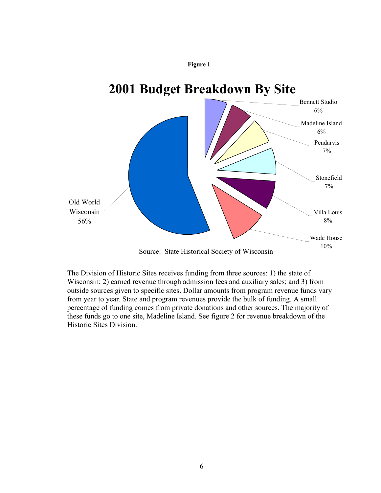



The Division of Historic Sites receives funding from three sources: 1) the state of Wisconsin; 2) earned revenue through admission fees and auxiliary sales; and 3) from outside sources given to specific sites. Dollar amounts from program revenue funds vary from year to year. State and program revenues provide the bulk of funding. A small percentage of funding comes from private donations and other sources. The majority of these funds go to one site, Madeline Island. See figure 2 for revenue breakdown of the Historic Sites Division.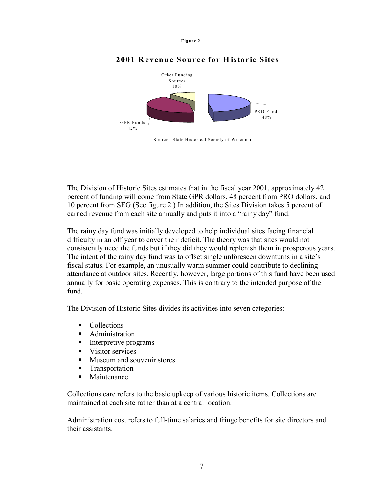



## **2001 Revenue Source for H istoric Sites**

Source: State Historical Society of W isconsin

The Division of Historic Sites estimates that in the fiscal year 2001, approximately 42 percent of funding will come from State GPR dollars, 48 percent from PRO dollars, and 10 percent from SEG (See figure 2.) In addition, the Sites Division takes 5 percent of earned revenue from each site annually and puts it into a "rainy day" fund.

The rainy day fund was initially developed to help individual sites facing financial difficulty in an off year to cover their deficit. The theory was that sites would not consistently need the funds but if they did they would replenish them in prosperous years. The intent of the rainy day fund was to offset single unforeseen downturns in a site's fiscal status. For example, an unusually warm summer could contribute to declining attendance at outdoor sites. Recently, however, large portions of this fund have been used annually for basic operating expenses. This is contrary to the intended purpose of the fund.

The Division of Historic Sites divides its activities into seven categories:

- Collections
- **Administration**
- **Interpretive programs**
- Visitor services
- **Museum and souvenir stores**
- **Transportation**
- **Maintenance**

Collections care refers to the basic upkeep of various historic items. Collections are maintained at each site rather than at a central location.

Administration cost refers to full-time salaries and fringe benefits for site directors and their assistants.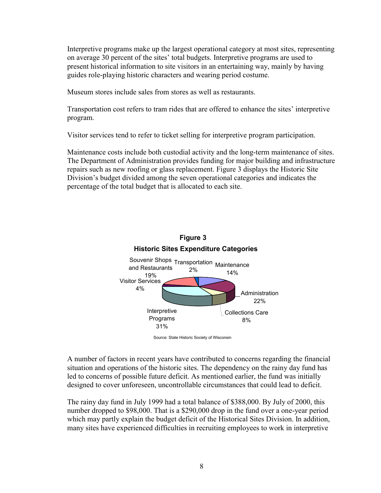Interpretive programs make up the largest operational category at most sites, representing on average 30 percent of the sites' total budgets. Interpretive programs are used to present historical information to site visitors in an entertaining way, mainly by having guides role-playing historic characters and wearing period costume.

Museum stores include sales from stores as well as restaurants.

Transportation cost refers to tram rides that are offered to enhance the sites' interpretive program.

Visitor services tend to refer to ticket selling for interpretive program participation.

Maintenance costs include both custodial activity and the long-term maintenance of sites. The Department of Administration provides funding for major building and infrastructure repairs such as new roofing or glass replacement. Figure 3 displays the Historic Site Division's budget divided among the seven operational categories and indicates the percentage of the total budget that is allocated to each site.



A number of factors in recent years have contributed to concerns regarding the financial situation and operations of the historic sites. The dependency on the rainy day fund has led to concerns of possible future deficit. As mentioned earlier, the fund was initially designed to cover unforeseen, uncontrollable circumstances that could lead to deficit.

The rainy day fund in July 1999 had a total balance of \$388,000. By July of 2000, this number dropped to \$98,000. That is a \$290,000 drop in the fund over a one-year period which may partly explain the budget deficit of the Historical Sites Division. In addition, many sites have experienced difficulties in recruiting employees to work in interpretive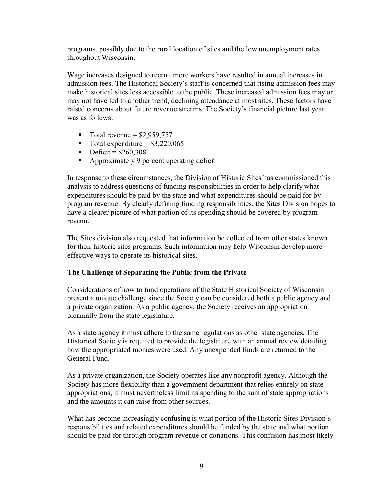programs, possibly due to the rural location of sites and the low unemployment rates throughout Wisconsin.

Wage increases designed to recruit more workers have resulted in annual increases in admission fees. The Historical Society's staff is concerned that rising admission fees may make historical sites less accessible to the public. These increased admission fees may or may not have led to another trend, declining attendance at most sites. These factors have raised concerns about future revenue streams. The Society's financial picture last year was as follows:

- Total revenue =  $$2,959,757$
- $\blacksquare$  Total expenditure = \$3,220,065
- Deficit =  $$260,308$
- **•** Approximately 9 percent operating deficit

In response to these circumstances, the Division of Historic Sites has commissioned this analysis to address questions of funding responsibilities in order to help clarify what expenditures should be paid by the state and what expenditures should be paid for by program revenue. By clearly defining funding responsibilities, the Sites Division hopes to have a clearer picture of what portion of its spending should be covered by program revenue.

The Sites division also requested that information be collected from other states known for their historic sites programs. Such information may help Wisconsin develop more effective ways to operate its historical sites.

## **The Challenge of Separating the Public from the Private**

Considerations of how to fund operations of the State Historical Society of Wisconsin present a unique challenge since the Society can be considered both a public agency and a private organization. As a public agency, the Society receives an appropriation biennially from the state legislature.

As a state agency it must adhere to the same regulations as other state agencies. The Historical Society is required to provide the legislature with an annual review detailing how the appropriated monies were used. Any unexpended funds are returned to the General Fund.

As a private organization, the Society operates like any nonprofit agency. Although the Society has more flexibility than a government department that relies entirely on state appropriations, it must nevertheless limit its spending to the sum of state appropriations and the amounts it can raise from other sources.

What has become increasingly confusing is what portion of the Historic Sites Division's responsibilities and related expenditures should be funded by the state and what portion should be paid for through program revenue or donations. This confusion has most likely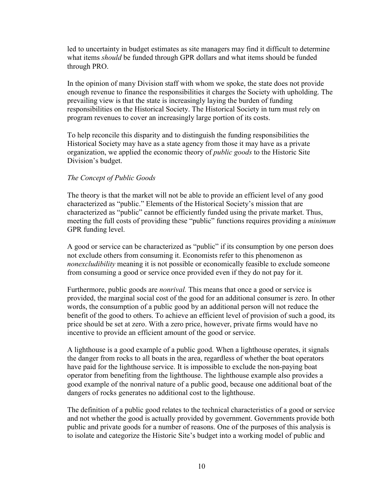led to uncertainty in budget estimates as site managers may find it difficult to determine what items *should* be funded through GPR dollars and what items should be funded through PRO.

In the opinion of many Division staff with whom we spoke, the state does not provide enough revenue to finance the responsibilities it charges the Society with upholding. The prevailing view is that the state is increasingly laying the burden of funding responsibilities on the Historical Society. The Historical Society in turn must rely on program revenues to cover an increasingly large portion of its costs.

To help reconcile this disparity and to distinguish the funding responsibilities the Historical Society may have as a state agency from those it may have as a private organization, we applied the economic theory of *public goods* to the Historic Site Division's budget.

#### *The Concept of Public Goods*

The theory is that the market will not be able to provide an efficient level of any good characterized as "public." Elements of the Historical Society's mission that are characterized as "public" cannot be efficiently funded using the private market. Thus, meeting the full costs of providing these "public" functions requires providing a *minimum* GPR funding level.

A good or service can be characterized as "public" if its consumption by one person does not exclude others from consuming it. Economists refer to this phenomenon as *nonexcludibility* meaning it is not possible or economically feasible to exclude someone from consuming a good or service once provided even if they do not pay for it.

Furthermore, public goods are *nonrival.* This means that once a good or service is provided, the marginal social cost of the good for an additional consumer is zero. In other words, the consumption of a public good by an additional person will not reduce the benefit of the good to others. To achieve an efficient level of provision of such a good, its price should be set at zero. With a zero price, however, private firms would have no incentive to provide an efficient amount of the good or service.

A lighthouse is a good example of a public good. When a lighthouse operates, it signals the danger from rocks to all boats in the area, regardless of whether the boat operators have paid for the lighthouse service. It is impossible to exclude the non-paying boat operator from benefiting from the lighthouse. The lighthouse example also provides a good example of the nonrival nature of a public good, because one additional boat of the dangers of rocks generates no additional cost to the lighthouse.

The definition of a public good relates to the technical characteristics of a good or service and not whether the good is actually provided by government. Governments provide both public and private goods for a number of reasons. One of the purposes of this analysis is to isolate and categorize the Historic Site's budget into a working model of public and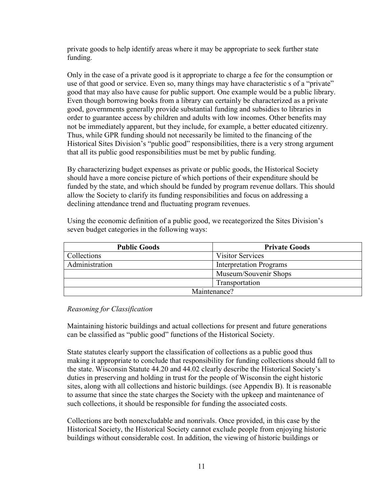private goods to help identify areas where it may be appropriate to seek further state funding.

Only in the case of a private good is it appropriate to charge a fee for the consumption or use of that good or service. Even so, many things may have characteristic s of a "private" good that may also have cause for public support. One example would be a public library. Even though borrowing books from a library can certainly be characterized as a private good, governments generally provide substantial funding and subsidies to libraries in order to guarantee access by children and adults with low incomes. Other benefits may not be immediately apparent, but they include, for example, a better educated citizenry. Thus, while GPR funding should not necessarily be limited to the financing of the Historical Sites Division's "public good" responsibilities, there is a very strong argument that all its public good responsibilities must be met by public funding.

By characterizing budget expenses as private or public goods, the Historical Society should have a more concise picture of which portions of their expenditure should be funded by the state, and which should be funded by program revenue dollars. This should allow the Society to clarify its funding responsibilities and focus on addressing a declining attendance trend and fluctuating program revenues.

Using the economic definition of a public good, we recategorized the Sites Division's seven budget categories in the following ways:

| <b>Public Goods</b> | <b>Private Goods</b>           |
|---------------------|--------------------------------|
| Collections         | <b>Visitor Services</b>        |
| Administration      | <b>Interpretation Programs</b> |
|                     | Museum/Souvenir Shops          |
|                     | Transportation                 |
| Maintenance?        |                                |

#### *Reasoning for Classification*

Maintaining historic buildings and actual collections for present and future generations can be classified as "public good" functions of the Historical Society.

State statutes clearly support the classification of collections as a public good thus making it appropriate to conclude that responsibility for funding collections should fall to the state. Wisconsin Statute 44.20 and 44.02 clearly describe the Historical Society's duties in preserving and holding in trust for the people of Wisconsin the eight historic sites, along with all collections and historic buildings. (see Appendix B). It is reasonable to assume that since the state charges the Society with the upkeep and maintenance of such collections, it should be responsible for funding the associated costs.

Collections are both nonexcludable and nonrivals. Once provided, in this case by the Historical Society, the Historical Society cannot exclude people from enjoying historic buildings without considerable cost. In addition, the viewing of historic buildings or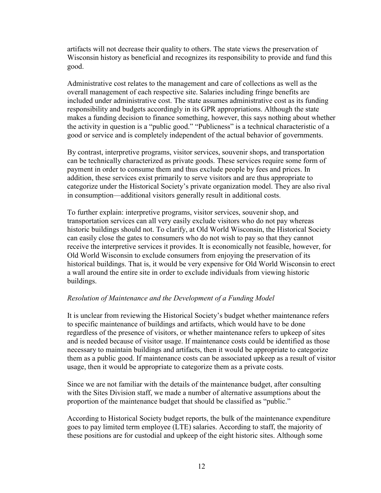artifacts will not decrease their quality to others. The state views the preservation of Wisconsin history as beneficial and recognizes its responsibility to provide and fund this good.

Administrative cost relates to the management and care of collections as well as the overall management of each respective site. Salaries including fringe benefits are included under administrative cost. The state assumes administrative cost as its funding responsibility and budgets accordingly in its GPR appropriations. Although the state makes a funding decision to finance something, however, this says nothing about whether the activity in question is a "public good." "Publicness" is a technical characteristic of a good or service and is completely independent of the actual behavior of governments.

By contrast, interpretive programs, visitor services, souvenir shops, and transportation can be technically characterized as private goods. These services require some form of payment in order to consume them and thus exclude people by fees and prices. In addition, these services exist primarily to serve visitors and are thus appropriate to categorize under the Historical Society's private organization model. They are also rival in consumption—additional visitors generally result in additional costs.

To further explain: interpretive programs, visitor services, souvenir shop, and transportation services can all very easily exclude visitors who do not pay whereas historic buildings should not. To clarify, at Old World Wisconsin, the Historical Society can easily close the gates to consumers who do not wish to pay so that they cannot receive the interpretive services it provides. It is economically not feasible, however, for Old World Wisconsin to exclude consumers from enjoying the preservation of its historical buildings. That is, it would be very expensive for Old World Wisconsin to erect a wall around the entire site in order to exclude individuals from viewing historic buildings.

#### *Resolution of Maintenance and the Development of a Funding Model*

It is unclear from reviewing the Historical Society's budget whether maintenance refers to specific maintenance of buildings and artifacts, which would have to be done regardless of the presence of visitors, or whether maintenance refers to upkeep of sites and is needed because of visitor usage. If maintenance costs could be identified as those necessary to maintain buildings and artifacts, then it would be appropriate to categorize them as a public good. If maintenance costs can be associated upkeep as a result of visitor usage, then it would be appropriate to categorize them as a private costs.

Since we are not familiar with the details of the maintenance budget, after consulting with the Sites Division staff, we made a number of alternative assumptions about the proportion of the maintenance budget that should be classified as "public."

According to Historical Society budget reports, the bulk of the maintenance expenditure goes to pay limited term employee (LTE) salaries. According to staff, the majority of these positions are for custodial and upkeep of the eight historic sites. Although some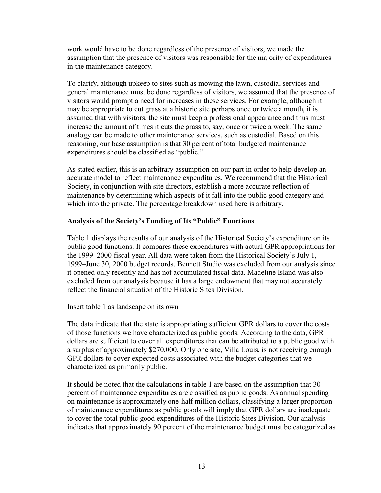work would have to be done regardless of the presence of visitors, we made the assumption that the presence of visitors was responsible for the majority of expenditures in the maintenance category.

To clarify, although upkeep to sites such as mowing the lawn, custodial services and general maintenance must be done regardless of visitors, we assumed that the presence of visitors would prompt a need for increases in these services. For example, although it may be appropriate to cut grass at a historic site perhaps once or twice a month, it is assumed that with visitors, the site must keep a professional appearance and thus must increase the amount of times it cuts the grass to, say, once or twice a week. The same analogy can be made to other maintenance services, such as custodial. Based on this reasoning, our base assumption is that 30 percent of total budgeted maintenance expenditures should be classified as "public."

As stated earlier, this is an arbitrary assumption on our part in order to help develop an accurate model to reflect maintenance expenditures. We recommend that the Historical Society, in conjunction with site directors, establish a more accurate reflection of maintenance by determining which aspects of it fall into the public good category and which into the private. The percentage breakdown used here is arbitrary.

#### **Analysis of the Society's Funding of Its "Public" Functions**

Table 1 displays the results of our analysis of the Historical Society's expenditure on its public good functions. It compares these expenditures with actual GPR appropriations for the 1999–2000 fiscal year. All data were taken from the Historical Society's July 1, 1999–June 30, 2000 budget records. Bennett Studio was excluded from our analysis since it opened only recently and has not accumulated fiscal data. Madeline Island was also excluded from our analysis because it has a large endowment that may not accurately reflect the financial situation of the Historic Sites Division.

Insert table 1 as landscape on its own

The data indicate that the state is appropriating sufficient GPR dollars to cover the costs of those functions we have characterized as public goods. According to the data, GPR dollars are sufficient to cover all expenditures that can be attributed to a public good with a surplus of approximately \$270,000. Only one site, Villa Louis, is not receiving enough GPR dollars to cover expected costs associated with the budget categories that we characterized as primarily public.

It should be noted that the calculations in table 1 are based on the assumption that 30 percent of maintenance expenditures are classified as public goods. As annual spending on maintenance is approximately one-half million dollars, classifying a larger proportion of maintenance expenditures as public goods will imply that GPR dollars are inadequate to cover the total public good expenditures of the Historic Sites Division. Our analysis indicates that approximately 90 percent of the maintenance budget must be categorized as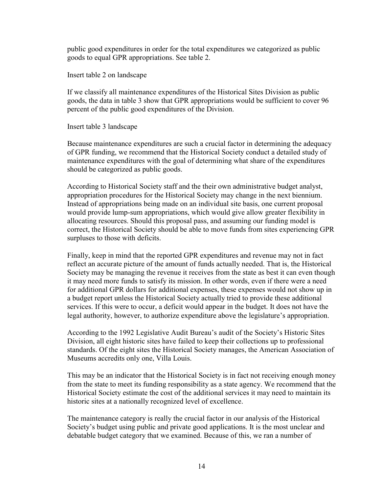public good expenditures in order for the total expenditures we categorized as public goods to equal GPR appropriations. See table 2.

Insert table 2 on landscape

If we classify all maintenance expenditures of the Historical Sites Division as public goods, the data in table 3 show that GPR appropriations would be sufficient to cover 96 percent of the public good expenditures of the Division.

Insert table 3 landscape

Because maintenance expenditures are such a crucial factor in determining the adequacy of GPR funding, we recommend that the Historical Society conduct a detailed study of maintenance expenditures with the goal of determining what share of the expenditures should be categorized as public goods.

According to Historical Society staff and the their own administrative budget analyst, appropriation procedures for the Historical Society may change in the next biennium. Instead of appropriations being made on an individual site basis, one current proposal would provide lump-sum appropriations, which would give allow greater flexibility in allocating resources. Should this proposal pass, and assuming our funding model is correct, the Historical Society should be able to move funds from sites experiencing GPR surpluses to those with deficits.

Finally, keep in mind that the reported GPR expenditures and revenue may not in fact reflect an accurate picture of the amount of funds actually needed. That is, the Historical Society may be managing the revenue it receives from the state as best it can even though it may need more funds to satisfy its mission. In other words, even if there were a need for additional GPR dollars for additional expenses, these expenses would not show up in a budget report unless the Historical Society actually tried to provide these additional services. If this were to occur, a deficit would appear in the budget. It does not have the legal authority, however, to authorize expenditure above the legislature's appropriation.

According to the 1992 Legislative Audit Bureau's audit of the Society's Historic Sites Division, all eight historic sites have failed to keep their collections up to professional standards. Of the eight sites the Historical Society manages, the American Association of Museums accredits only one, Villa Louis.

This may be an indicator that the Historical Society is in fact not receiving enough money from the state to meet its funding responsibility as a state agency. We recommend that the Historical Society estimate the cost of the additional services it may need to maintain its historic sites at a nationally recognized level of excellence.

The maintenance category is really the crucial factor in our analysis of the Historical Society's budget using public and private good applications. It is the most unclear and debatable budget category that we examined. Because of this, we ran a number of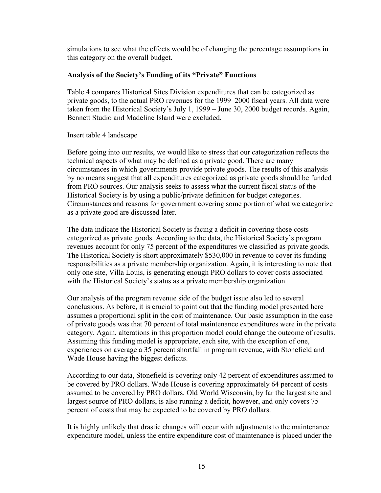simulations to see what the effects would be of changing the percentage assumptions in this category on the overall budget.

### **Analysis of the Society's Funding of its "Private" Functions**

Table 4 compares Historical Sites Division expenditures that can be categorized as private goods, to the actual PRO revenues for the 1999–2000 fiscal years. All data were taken from the Historical Society's July 1, 1999 – June 30, 2000 budget records. Again, Bennett Studio and Madeline Island were excluded.

#### Insert table 4 landscape

Before going into our results, we would like to stress that our categorization reflects the technical aspects of what may be defined as a private good. There are many circumstances in which governments provide private goods. The results of this analysis by no means suggest that all expenditures categorized as private goods should be funded from PRO sources. Our analysis seeks to assess what the current fiscal status of the Historical Society is by using a public/private definition for budget categories. Circumstances and reasons for government covering some portion of what we categorize as a private good are discussed later.

The data indicate the Historical Society is facing a deficit in covering those costs categorized as private goods. According to the data, the Historical Society's program revenues account for only 75 percent of the expenditures we classified as private goods. The Historical Society is short approximately \$530,000 in revenue to cover its funding responsibilities as a private membership organization. Again, it is interesting to note that only one site, Villa Louis, is generating enough PRO dollars to cover costs associated with the Historical Society's status as a private membership organization.

Our analysis of the program revenue side of the budget issue also led to several conclusions. As before, it is crucial to point out that the funding model presented here assumes a proportional split in the cost of maintenance. Our basic assumption in the case of private goods was that 70 percent of total maintenance expenditures were in the private category. Again, alterations in this proportion model could change the outcome of results. Assuming this funding model is appropriate, each site, with the exception of one, experiences on average a 35 percent shortfall in program revenue, with Stonefield and Wade House having the biggest deficits.

According to our data, Stonefield is covering only 42 percent of expenditures assumed to be covered by PRO dollars. Wade House is covering approximately 64 percent of costs assumed to be covered by PRO dollars. Old World Wisconsin, by far the largest site and largest source of PRO dollars, is also running a deficit, however, and only covers 75 percent of costs that may be expected to be covered by PRO dollars.

It is highly unlikely that drastic changes will occur with adjustments to the maintenance expenditure model, unless the entire expenditure cost of maintenance is placed under the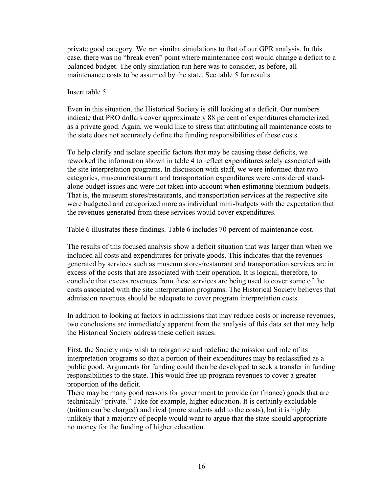private good category. We ran similar simulations to that of our GPR analysis. In this case, there was no "break even" point where maintenance cost would change a deficit to a balanced budget. The only simulation run here was to consider, as before, all maintenance costs to be assumed by the state. See table 5 for results.

#### Insert table 5

Even in this situation, the Historical Society is still looking at a deficit. Our numbers indicate that PRO dollars cover approximately 88 percent of expenditures characterized as a private good. Again, we would like to stress that attributing all maintenance costs to the state does not accurately define the funding responsibilities of these costs.

To help clarify and isolate specific factors that may be causing these deficits, we reworked the information shown in table 4 to reflect expenditures solely associated with the site interpretation programs. In discussion with staff, we were informed that two categories, museum/restaurant and transportation expenditures were considered standalone budget issues and were not taken into account when estimating biennium budgets. That is, the museum stores/restaurants, and transportation services at the respective site were budgeted and categorized more as individual mini-budgets with the expectation that the revenues generated from these services would cover expenditures.

Table 6 illustrates these findings. Table 6 includes 70 percent of maintenance cost.

The results of this focused analysis show a deficit situation that was larger than when we included all costs and expenditures for private goods. This indicates that the revenues generated by services such as museum stores/restaurant and transportation services are in excess of the costs that are associated with their operation. It is logical, therefore, to conclude that excess revenues from these services are being used to cover some of the costs associated with the site interpretation programs. The Historical Society believes that admission revenues should be adequate to cover program interpretation costs.

In addition to looking at factors in admissions that may reduce costs or increase revenues, two conclusions are immediately apparent from the analysis of this data set that may help the Historical Society address these deficit issues.

First, the Society may wish to reorganize and redefine the mission and role of its interpretation programs so that a portion of their expenditures may be reclassified as a public good. Arguments for funding could then be developed to seek a transfer in funding responsibilities to the state. This would free up program revenues to cover a greater proportion of the deficit.

There may be many good reasons for government to provide (or finance) goods that are technically "private." Take for example, higher education. It is certainly excludable (tuition can be charged) and rival (more students add to the costs), but it is highly unlikely that a majority of people would want to argue that the state should appropriate no money for the funding of higher education.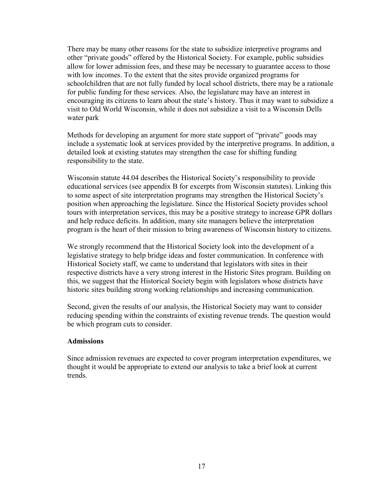There may be many other reasons for the state to subsidize interpretive programs and other "private goods" offered by the Historical Society. For example, public subsidies allow for lower admission fees, and these may be necessary to guarantee access to those with low incomes. To the extent that the sites provide organized programs for schoolchildren that are not fully funded by local school districts, there may be a rationale for public funding for these services. Also, the legislature may have an interest in encouraging its citizens to learn about the state's history. Thus it may want to subsidize a visit to Old World Wisconsin, while it does not subsidize a visit to a Wisconsin Dells water park

Methods for developing an argument for more state support of "private" goods may include a systematic look at services provided by the interpretive programs. In addition, a detailed look at existing statutes may strengthen the case for shifting funding responsibility to the state.

Wisconsin statute 44.04 describes the Historical Society's responsibility to provide educational services (see appendix B for excerpts from Wisconsin statutes). Linking this to some aspect of site interpretation programs may strengthen the Historical Society's position when approaching the legislature. Since the Historical Society provides school tours with interpretation services, this may be a positive strategy to increase GPR dollars and help reduce deficits. In addition, many site managers believe the interpretation program is the heart of their mission to bring awareness of Wisconsin history to citizens.

We strongly recommend that the Historical Society look into the development of a legislative strategy to help bridge ideas and foster communication. In conference with Historical Society staff, we came to understand that legislators with sites in their respective districts have a very strong interest in the Historic Sites program. Building on this, we suggest that the Historical Society begin with legislators whose districts have historic sites building strong working relationships and increasing communication.

Second, given the results of our analysis, the Historical Society may want to consider reducing spending within the constraints of existing revenue trends. The question would be which program cuts to consider.

#### **Admissions**

Since admission revenues are expected to cover program interpretation expenditures, we thought it would be appropriate to extend our analysis to take a brief look at current trends.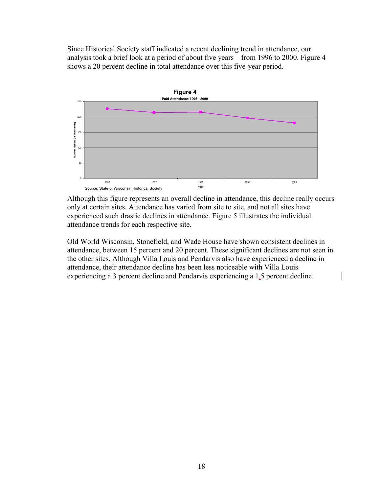Since Historical Society staff indicated a recent declining trend in attendance, our analysis took a brief look at a period of about five years—from 1996 to 2000. Figure 4 shows a 20 percent decline in total attendance over this five-year period.



Although this figure represents an overall decline in attendance, this decline really occurs only at certain sites. Attendance has varied from site to site, and not all sites have experienced such drastic declines in attendance. Figure 5 illustrates the individual attendance trends for each respective site.

Old World Wisconsin, Stonefield, and Wade House have shown consistent declines in attendance, between 15 percent and 20 percent. These significant declines are not seen in the other sites. Although Villa Louis and Pendarvis also have experienced a decline in attendance, their attendance decline has been less noticeable with Villa Louis experiencing a 3 percent decline and Pendarvis experiencing a 1.5 percent decline.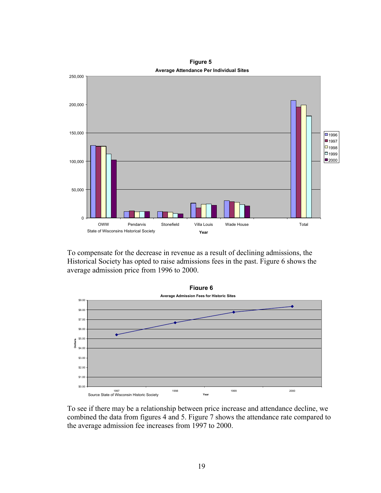

**Average Attendance Per Individual Sites Figure 5**

To compensate for the decrease in revenue as a result of declining admissions, the Historical Society has opted to raise admissions fees in the past. Figure 6 shows the average admission price from 1996 to 2000.



To see if there may be a relationship between price increase and attendance decline, we combined the data from figures 4 and 5. Figure 7 shows the attendance rate compared to the average admission fee increases from 1997 to 2000.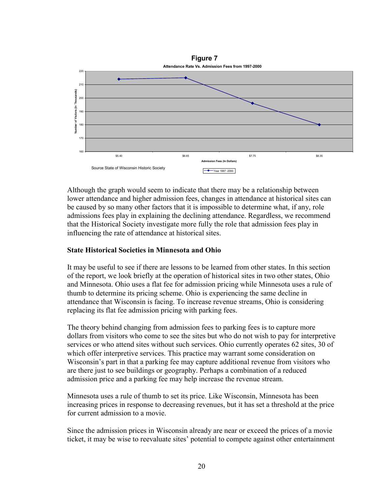

Although the graph would seem to indicate that there may be a relationship between lower attendance and higher admission fees, changes in attendance at historical sites can be caused by so many other factors that it is impossible to determine what, if any, role admissions fees play in explaining the declining attendance. Regardless, we recommend that the Historical Society investigate more fully the role that admission fees play in influencing the rate of attendance at historical sites.

## **State Historical Societies in Minnesota and Ohio**

It may be useful to see if there are lessons to be learned from other states. In this section of the report, we look briefly at the operation of historical sites in two other states, Ohio and Minnesota. Ohio uses a flat fee for admission pricing while Minnesota uses a rule of thumb to determine its pricing scheme. Ohio is experiencing the same decline in attendance that Wisconsin is facing. To increase revenue streams, Ohio is considering replacing its flat fee admission pricing with parking fees.

The theory behind changing from admission fees to parking fees is to capture more dollars from visitors who come to see the sites but who do not wish to pay for interpretive services or who attend sites without such services. Ohio currently operates 62 sites, 30 of which offer interpretive services. This practice may warrant some consideration on Wisconsin's part in that a parking fee may capture additional revenue from visitors who are there just to see buildings or geography. Perhaps a combination of a reduced admission price and a parking fee may help increase the revenue stream.

Minnesota uses a rule of thumb to set its price. Like Wisconsin, Minnesota has been increasing prices in response to decreasing revenues, but it has set a threshold at the price for current admission to a movie.

Since the admission prices in Wisconsin already are near or exceed the prices of a movie ticket, it may be wise to reevaluate sites' potential to compete against other entertainment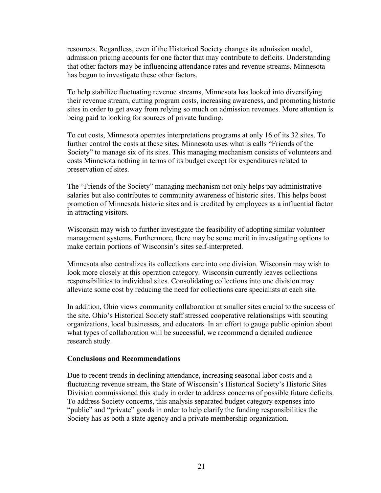resources. Regardless, even if the Historical Society changes its admission model, admission pricing accounts for one factor that may contribute to deficits. Understanding that other factors may be influencing attendance rates and revenue streams, Minnesota has begun to investigate these other factors.

To help stabilize fluctuating revenue streams, Minnesota has looked into diversifying their revenue stream, cutting program costs, increasing awareness, and promoting historic sites in order to get away from relying so much on admission revenues. More attention is being paid to looking for sources of private funding.

To cut costs, Minnesota operates interpretations programs at only 16 of its 32 sites. To further control the costs at these sites, Minnesota uses what is calls "Friends of the Society" to manage six of its sites. This managing mechanism consists of volunteers and costs Minnesota nothing in terms of its budget except for expenditures related to preservation of sites.

The "Friends of the Society" managing mechanism not only helps pay administrative salaries but also contributes to community awareness of historic sites. This helps boost promotion of Minnesota historic sites and is credited by employees as a influential factor in attracting visitors.

Wisconsin may wish to further investigate the feasibility of adopting similar volunteer management systems. Furthermore, there may be some merit in investigating options to make certain portions of Wisconsin's sites self-interpreted.

Minnesota also centralizes its collections care into one division. Wisconsin may wish to look more closely at this operation category. Wisconsin currently leaves collections responsibilities to individual sites. Consolidating collections into one division may alleviate some cost by reducing the need for collections care specialists at each site.

In addition, Ohio views community collaboration at smaller sites crucial to the success of the site. Ohio's Historical Society staff stressed cooperative relationships with scouting organizations, local businesses, and educators. In an effort to gauge public opinion about what types of collaboration will be successful, we recommend a detailed audience research study.

#### **Conclusions and Recommendations**

Due to recent trends in declining attendance, increasing seasonal labor costs and a fluctuating revenue stream, the State of Wisconsin's Historical Society's Historic Sites Division commissioned this study in order to address concerns of possible future deficits. To address Society concerns, this analysis separated budget category expenses into "public" and "private" goods in order to help clarify the funding responsibilities the Society has as both a state agency and a private membership organization.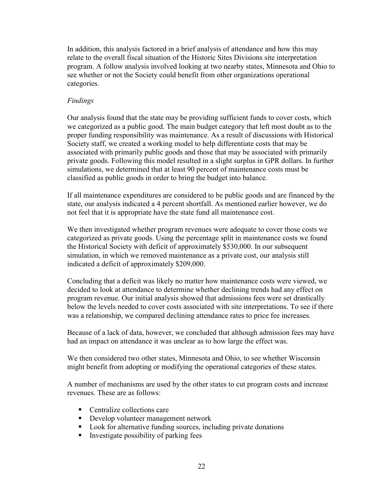In addition, this analysis factored in a brief analysis of attendance and how this may relate to the overall fiscal situation of the Historic Sites Divisions site interpretation program. A follow analysis involved looking at two nearby states, Minnesota and Ohio to see whether or not the Society could benefit from other organizations operational categories.

## *Findings*

Our analysis found that the state may be providing sufficient funds to cover costs, which we categorized as a public good. The main budget category that left most doubt as to the proper funding responsibility was maintenance. As a result of discussions with Historical Society staff, we created a working model to help differentiate costs that may be associated with primarily public goods and those that may be associated with primarily private goods. Following this model resulted in a slight surplus in GPR dollars. In further simulations, we determined that at least 90 percent of maintenance costs must be classified as public goods in order to bring the budget into balance.

If all maintenance expenditures are considered to be public goods and are financed by the state, our analysis indicated a 4 percent shortfall. As mentioned earlier however, we do not feel that it is appropriate have the state fund all maintenance cost.

We then investigated whether program revenues were adequate to cover those costs we categorized as private goods. Using the percentage split in maintenance costs we found the Historical Society with deficit of approximately \$530,000. In our subsequent simulation, in which we removed maintenance as a private cost, our analysis still indicated a deficit of approximately \$209,000.

Concluding that a deficit was likely no matter how maintenance costs were viewed, we decided to look at attendance to determine whether declining trends had any effect on program revenue. Our initial analysis showed that admissions fees were set drastically below the levels needed to cover costs associated with site interpretations. To see if there was a relationship, we compared declining attendance rates to price fee increases.

Because of a lack of data, however, we concluded that although admission fees may have had an impact on attendance it was unclear as to how large the effect was.

We then considered two other states, Minnesota and Ohio, to see whether Wisconsin might benefit from adopting or modifying the operational categories of these states.

A number of mechanisms are used by the other states to cut program costs and increase revenues. These are as follows:

- Centralize collections care
- Develop volunteer management network
- Look for alternative funding sources, including private donations
- Investigate possibility of parking fees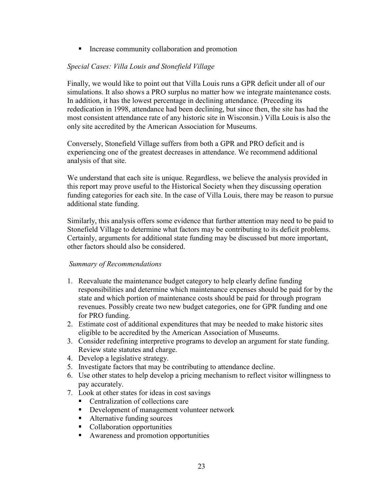■ Increase community collaboration and promotion

## *Special Cases: Villa Louis and Stonefield Village*

Finally, we would like to point out that Villa Louis runs a GPR deficit under all of our simulations. It also shows a PRO surplus no matter how we integrate maintenance costs. In addition, it has the lowest percentage in declining attendance. (Preceding its rededication in 1998, attendance had been declining, but since then, the site has had the most consistent attendance rate of any historic site in Wisconsin.) Villa Louis is also the only site accredited by the American Association for Museums.

Conversely, Stonefield Village suffers from both a GPR and PRO deficit and is experiencing one of the greatest decreases in attendance. We recommend additional analysis of that site.

We understand that each site is unique. Regardless, we believe the analysis provided in this report may prove useful to the Historical Society when they discussing operation funding categories for each site. In the case of Villa Louis, there may be reason to pursue additional state funding.

Similarly, this analysis offers some evidence that further attention may need to be paid to Stonefield Village to determine what factors may be contributing to its deficit problems. Certainly, arguments for additional state funding may be discussed but more important, other factors should also be considered.

## *Summary of Recommendations*

- 1. Reevaluate the maintenance budget category to help clearly define funding responsibilities and determine which maintenance expenses should be paid for by the state and which portion of maintenance costs should be paid for through program revenues. Possibly create two new budget categories, one for GPR funding and one for PRO funding.
- 2. Estimate cost of additional expenditures that may be needed to make historic sites eligible to be accredited by the American Association of Museums.
- 3. Consider redefining interpretive programs to develop an argument for state funding. Review state statutes and charge.
- 4. Develop a legislative strategy.
- 5. Investigate factors that may be contributing to attendance decline.
- 6. Use other states to help develop a pricing mechanism to reflect visitor willingness to pay accurately.
- 7. Look at other states for ideas in cost savings
	- Centralization of collections care
	- Development of management volunteer network
	- Alternative funding sources
	- Collaboration opportunities
	- Awareness and promotion opportunities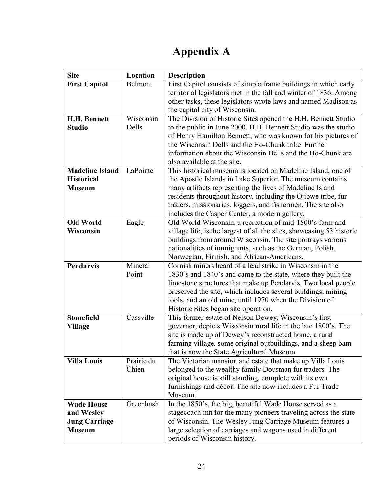## **Appendix A**

| <b>Site</b>            | Location            | <b>Description</b>                                                                                                  |
|------------------------|---------------------|---------------------------------------------------------------------------------------------------------------------|
| <b>First Capitol</b>   | Belmont             | First Capitol consists of simple frame buildings in which early                                                     |
|                        |                     | territorial legislators met in the fall and winter of 1836. Among                                                   |
|                        |                     | other tasks, these legislators wrote laws and named Madison as                                                      |
|                        |                     | the capitol city of Wisconsin.                                                                                      |
| <b>H.H. Bennett</b>    | Wisconsin           | The Division of Historic Sites opened the H.H. Bennett Studio                                                       |
| <b>Studio</b>          | Dells               | to the public in June 2000. H.H. Bennett Studio was the studio                                                      |
|                        |                     | of Henry Hamilton Bennett, who was known for his pictures of<br>the Wisconsin Dells and the Ho-Chunk tribe. Further |
|                        |                     | information about the Wisconsin Dells and the Ho-Chunk are                                                          |
|                        |                     | also available at the site.                                                                                         |
| <b>Madeline Island</b> | LaPointe            | This historical museum is located on Madeline Island, one of                                                        |
| <b>Historical</b>      |                     | the Apostle Islands in Lake Superior. The museum contains                                                           |
| <b>Museum</b>          |                     | many artifacts representing the lives of Madeline Island                                                            |
|                        |                     | residents throughout history, including the Ojibwe tribe, fur                                                       |
|                        |                     | traders, missionaries, loggers, and fishermen. The site also                                                        |
|                        |                     | includes the Casper Center, a modern gallery.                                                                       |
| <b>Old World</b>       | Eagle               | Old World Wisconsin, a recreation of mid-1800's farm and                                                            |
| Wisconsin              |                     | village life, is the largest of all the sites, showcasing 53 historic                                               |
|                        |                     | buildings from around Wisconsin. The site portrays various                                                          |
|                        |                     | nationalities of immigrants, such as the German, Polish,                                                            |
| Pendarvis              | Mineral             | Norwegian, Finnish, and African-Americans.<br>Cornish miners heard of a lead strike in Wisconsin in the             |
|                        | Point               | 1830's and 1840's and came to the state, where they built the                                                       |
|                        |                     | limestone structures that make up Pendarvis. Two local people                                                       |
|                        |                     | preserved the site, which includes several buildings, mining                                                        |
|                        |                     | tools, and an old mine, until 1970 when the Division of                                                             |
|                        |                     | Historic Sites began site operation.                                                                                |
| <b>Stonefield</b>      | Cassville           | This former estate of Nelson Dewey, Wisconsin's first                                                               |
| Village                |                     | governor, depicts Wisconsin rural life in the late 1800's. The                                                      |
|                        |                     | site is made up of Dewey's reconstructed home, a rural                                                              |
|                        |                     | farming village, some original outbuildings, and a sheep barn                                                       |
|                        |                     | that is now the State Agricultural Museum.                                                                          |
| <b>Villa Louis</b>     | Prairie du<br>Chien | The Victorian mansion and estate that make up Villa Louis                                                           |
|                        |                     | belonged to the wealthy family Dousman fur traders. The<br>original house is still standing, complete with its own  |
|                        |                     | furnishings and décor. The site now includes a Fur Trade                                                            |
|                        |                     | Museum.                                                                                                             |
| <b>Wade House</b>      | Greenbush           | In the 1850's, the big, beautiful Wade House served as a                                                            |
| and Wesley             |                     | stage coach inn for the many pioneers traveling across the state                                                    |
| <b>Jung Carriage</b>   |                     | of Wisconsin. The Wesley Jung Carriage Museum features a                                                            |
| <b>Museum</b>          |                     | large selection of carriages and wagons used in different                                                           |
|                        |                     | periods of Wisconsin history.                                                                                       |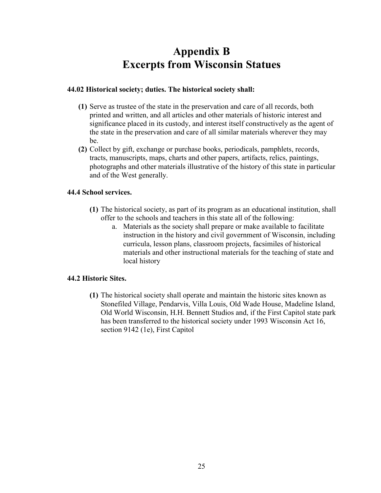## **Appendix B Excerpts from Wisconsin Statues**

#### **44.02 Historical society; duties. The historical society shall:**

- **(1)** Serve as trustee of the state in the preservation and care of all records, both printed and written, and all articles and other materials of historic interest and significance placed in its custody, and interest itself constructively as the agent of the state in the preservation and care of all similar materials wherever they may be.
- **(2)** Collect by gift, exchange or purchase books, periodicals, pamphlets, records, tracts, manuscripts, maps, charts and other papers, artifacts, relics, paintings, photographs and other materials illustrative of the history of this state in particular and of the West generally.

#### **44.4 School services.**

- **(1)** The historical society, as part of its program as an educational institution, shall offer to the schools and teachers in this state all of the following:
	- a. Materials as the society shall prepare or make available to facilitate instruction in the history and civil government of Wisconsin, including curricula, lesson plans, classroom projects, facsimiles of historical materials and other instructional materials for the teaching of state and local history

## **44.2 Historic Sites.**

**(1)** The historical society shall operate and maintain the historic sites known as Stonefiled Village, Pendarvis, Villa Louis, Old Wade House, Madeline Island, Old World Wisconsin, H.H. Bennett Studios and, if the First Capitol state park has been transferred to the historical society under 1993 Wisconsin Act 16, section 9142 (1e), First Capitol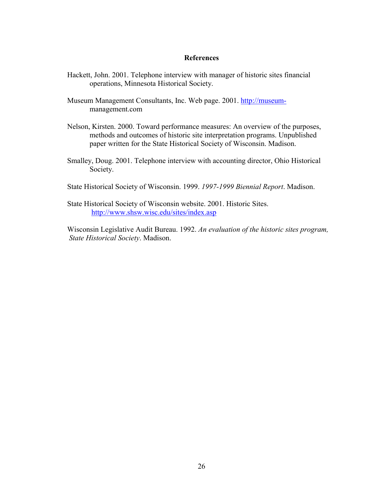#### **References**

- Hackett, John. 2001. Telephone interview with manager of historic sites financial operations, Minnesota Historical Society.
- Museum Management Consultants, Inc. Web page. 2001. http://museummanagement.com
- Nelson, Kirsten. 2000. Toward performance measures: An overview of the purposes, methods and outcomes of historic site interpretation programs. Unpublished paper written for the State Historical Society of Wisconsin. Madison.
- Smalley, Doug. 2001. Telephone interview with accounting director, Ohio Historical Society.
- State Historical Society of Wisconsin. 1999. *1997-1999 Biennial Report*. Madison.
- State Historical Society of Wisconsin website. 2001. Historic Sites. http://www.shsw.wisc.edu/sites/index.asp

Wisconsin Legislative Audit Bureau. 1992. *An evaluation of the historic sites program, State Historical Society*. Madison.